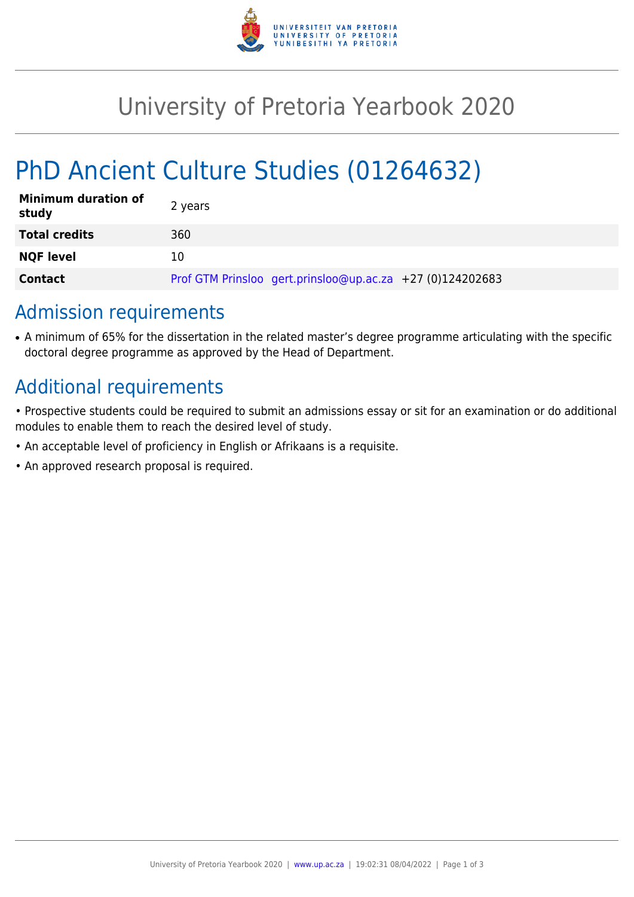

## University of Pretoria Yearbook 2020

# PhD Ancient Culture Studies (01264632)

| <b>Minimum duration of</b><br>study | 2 years                                                   |
|-------------------------------------|-----------------------------------------------------------|
| <b>Total credits</b>                | 360                                                       |
| <b>NQF level</b>                    | 10                                                        |
| <b>Contact</b>                      | Prof GTM Prinsloo gert.prinsloo@up.ac.za +27 (0)124202683 |

## Admission requirements

• A minimum of 65% for the dissertation in the related master's degree programme articulating with the specific doctoral degree programme as approved by the Head of Department.

## Additional requirements

- Prospective students could be required to submit an admissions essay or sit for an examination or do additional modules to enable them to reach the desired level of study.
- An acceptable level of proficiency in English or Afrikaans is a requisite.
- An approved research proposal is required.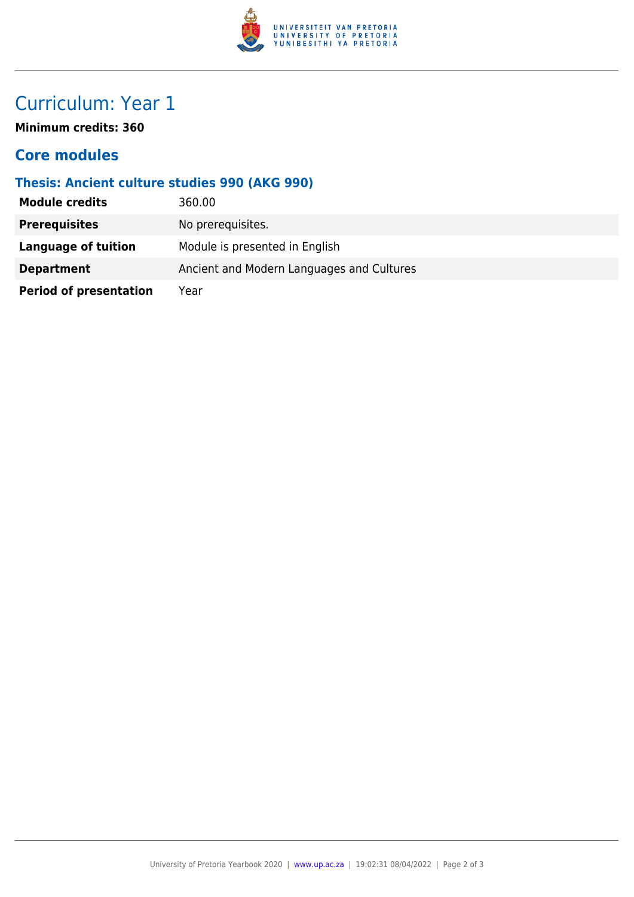

## Curriculum: Year 1

**Minimum credits: 360**

#### **Core modules**

#### **Thesis: Ancient culture studies 990 (AKG 990)**

| <b>Module credits</b>         | 360.00                                    |
|-------------------------------|-------------------------------------------|
| <b>Prerequisites</b>          | No prerequisites.                         |
| Language of tuition           | Module is presented in English            |
| <b>Department</b>             | Ancient and Modern Languages and Cultures |
| <b>Period of presentation</b> | Year                                      |